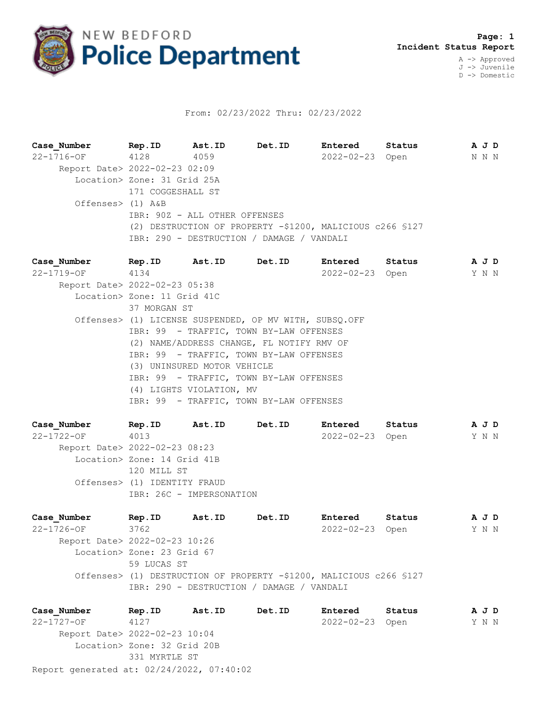

## From: 02/23/2022 Thru: 02/23/2022

**Case\_Number Rep.ID Ast.ID Det.ID Entered Status A J D** 22-1716-OF 4128 4059 2022-02-23 Open N N N Report Date> 2022-02-23 02:09 Location> Zone: 31 Grid 25A 171 COGGESHALL ST Offenses> (1) A&B IBR: 90Z - ALL OTHER OFFENSES (2) DESTRUCTION OF PROPERTY -\$1200, MALICIOUS c266 §127 IBR: 290 - DESTRUCTION / DAMAGE / VANDALI

**Case\_Number Rep.ID Ast.ID Det.ID Entered Status A J D** 22-1719-OF 4134 2022-02-23 Open Y N N Report Date> 2022-02-23 05:38 Location> Zone: 11 Grid 41C 37 MORGAN ST Offenses> (1) LICENSE SUSPENDED, OP MV WITH, SUBSQ.OFF IBR: 99 - TRAFFIC, TOWN BY-LAW OFFENSES (2) NAME/ADDRESS CHANGE, FL NOTIFY RMV OF IBR: 99 - TRAFFIC, TOWN BY-LAW OFFENSES (3) UNINSURED MOTOR VEHICLE IBR: 99 - TRAFFIC, TOWN BY-LAW OFFENSES (4) LIGHTS VIOLATION, MV IBR: 99 - TRAFFIC, TOWN BY-LAW OFFENSES

**Case\_Number Rep.ID Ast.ID Det.ID Entered Status A J D** 22-1722-OF 4013 2022-02-23 Open Y N N Report Date> 2022-02-23 08:23 Location> Zone: 14 Grid 41B 120 MILL ST Offenses> (1) IDENTITY FRAUD IBR: 26C - IMPERSONATION

**Case\_Number Rep.ID Ast.ID Det.ID Entered Status A J D** 22-1726-OF 3762 2022-02-23 Open Y N N Report Date> 2022-02-23 10:26 Location> Zone: 23 Grid 67 59 LUCAS ST Offenses> (1) DESTRUCTION OF PROPERTY -\$1200, MALICIOUS c266 §127 IBR: 290 - DESTRUCTION / DAMAGE / VANDALI

Report generated at: 02/24/2022, 07:40:02 **Case\_Number Rep.ID Ast.ID Det.ID Entered Status A J D** 22-1727-OF 4127 2022-02-23 Open Y N N Report Date> 2022-02-23 10:04 Location> Zone: 32 Grid 20B 331 MYRTLE ST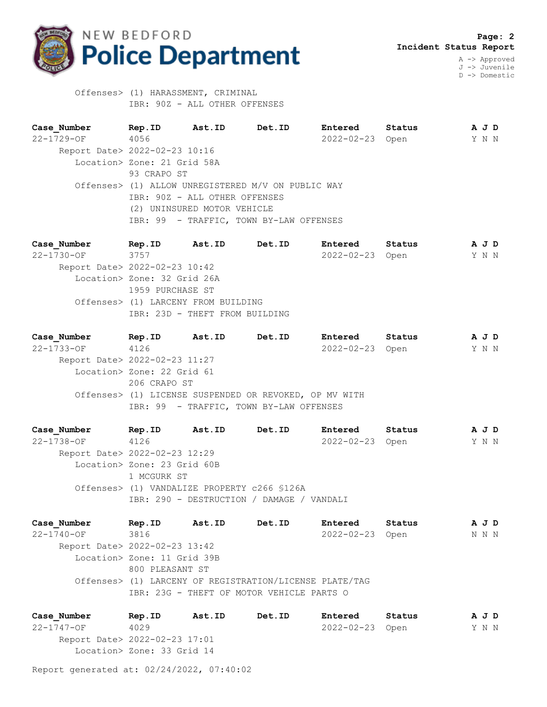

J -> Juvenile D -> Domestic

 Offenses> (1) HARASSMENT, CRIMINAL IBR: 90Z - ALL OTHER OFFENSES

**Case\_Number Rep.ID Ast.ID Det.ID Entered Status A J D** 22-1729-OF 4056 2022-02-23 Open Y N N Report Date> 2022-02-23 10:16 Location> Zone: 21 Grid 58A 93 CRAPO ST Offenses> (1) ALLOW UNREGISTERED M/V ON PUBLIC WAY IBR: 90Z - ALL OTHER OFFENSES (2) UNINSURED MOTOR VEHICLE IBR: 99 - TRAFFIC, TOWN BY-LAW OFFENSES

**Case\_Number Rep.ID Ast.ID Det.ID Entered Status A J D** 22-1730-OF 3757 2022-02-23 Open Y N N Report Date> 2022-02-23 10:42 Location> Zone: 32 Grid 26A 1959 PURCHASE ST Offenses> (1) LARCENY FROM BUILDING IBR: 23D - THEFT FROM BUILDING

**Case\_Number Rep.ID Ast.ID Det.ID Entered Status A J D** 22-1733-OF 4126 2022-02-23 Open Y N N Report Date> 2022-02-23 11:27 Location> Zone: 22 Grid 61 206 CRAPO ST Offenses> (1) LICENSE SUSPENDED OR REVOKED, OP MV WITH IBR: 99 - TRAFFIC, TOWN BY-LAW OFFENSES

**Case\_Number Rep.ID Ast.ID Det.ID Entered Status A J D** 22-1738-OF 4126 2022-02-23 Open Y N N Report Date> 2022-02-23 12:29 Location> Zone: 23 Grid 60B 1 MCGURK ST Offenses> (1) VANDALIZE PROPERTY c266 §126A IBR: 290 - DESTRUCTION / DAMAGE / VANDALI

**Case\_Number Rep.ID Ast.ID Det.ID Entered Status A J D** 22-1740-OF 3816 2022-02-23 Open N N N Report Date> 2022-02-23 13:42 Location> Zone: 11 Grid 39B 800 PLEASANT ST Offenses> (1) LARCENY OF REGISTRATION/LICENSE PLATE/TAG IBR: 23G - THEFT OF MOTOR VEHICLE PARTS O

**Case\_Number Rep.ID Ast.ID Det.ID Entered Status A J D** 22-1747-OF 4029 2022-02-23 Open Y N N Report Date> 2022-02-23 17:01 Location> Zone: 33 Grid 14

Report generated at: 02/24/2022, 07:40:02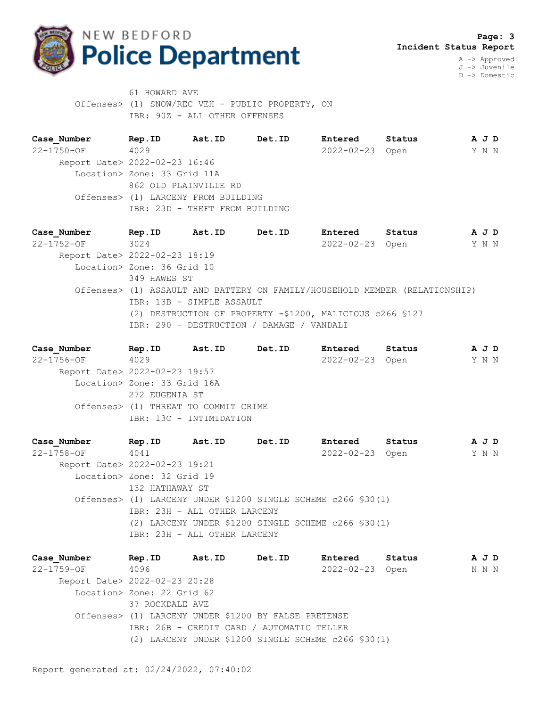

D -> Domestic

61 HOWARD AVE Offenses> (1) SNOW/REC VEH - PUBLIC PROPERTY, ON IBR: 90Z - ALL OTHER OFFENSES

**Case\_Number Rep.ID Ast.ID Det.ID Entered Status A J D** 22-1750-OF 4029 2022-02-23 Open Y N N Report Date> 2022-02-23 16:46 Location> Zone: 33 Grid 11A 862 OLD PLAINVILLE RD Offenses> (1) LARCENY FROM BUILDING IBR: 23D - THEFT FROM BUILDING

**Case\_Number Rep.ID Ast.ID Det.ID Entered Status A J D** 22-1752-OF 3024 2022-02-23 Open Y N N Report Date> 2022-02-23 18:19 Location> Zone: 36 Grid 10 349 HAWES ST Offenses> (1) ASSAULT AND BATTERY ON FAMILY/HOUSEHOLD MEMBER (RELATIONSHIP) IBR: 13B - SIMPLE ASSAULT (2) DESTRUCTION OF PROPERTY -\$1200, MALICIOUS c266 §127 IBR: 290 - DESTRUCTION / DAMAGE / VANDALI

| Case Number      | Rep.ID                               | Ast.ID | Det.ID | Entered          | Status |  | A J D |  |
|------------------|--------------------------------------|--------|--------|------------------|--------|--|-------|--|
| $22 - 1756 - OF$ | 4029                                 |        |        | $2022 - 02 - 23$ | Open   |  | Y N N |  |
|                  | Report Date> 2022-02-23 19:57        |        |        |                  |        |  |       |  |
|                  | Location> Zone: 33 Grid 16A          |        |        |                  |        |  |       |  |
|                  | 272 EUGENIA ST                       |        |        |                  |        |  |       |  |
|                  | Offenses> (1) THREAT TO COMMIT CRIME |        |        |                  |        |  |       |  |
|                  | IBR: 13C - INTIMIDATION              |        |        |                  |        |  |       |  |
|                  |                                      |        |        |                  |        |  |       |  |

**Case\_Number Rep.ID Ast.ID Det.ID Entered Status A J D** 22-1758-OF 4041 2022-02-23 Open Y N N Report Date> 2022-02-23 19:21 Location> Zone: 32 Grid 19 132 HATHAWAY ST Offenses> (1) LARCENY UNDER \$1200 SINGLE SCHEME c266 §30(1) IBR: 23H - ALL OTHER LARCENY (2) LARCENY UNDER \$1200 SINGLE SCHEME c266 §30(1) IBR: 23H - ALL OTHER LARCENY

**Case\_Number Rep.ID Ast.ID Det.ID Entered Status A J D** 22-1759-OF 4096 2022-02-23 Open N N N Report Date> 2022-02-23 20:28 Location> Zone: 22 Grid 62 37 ROCKDALE AVE Offenses> (1) LARCENY UNDER \$1200 BY FALSE PRETENSE IBR: 26B - CREDIT CARD / AUTOMATIC TELLER (2) LARCENY UNDER \$1200 SINGLE SCHEME c266 §30(1)